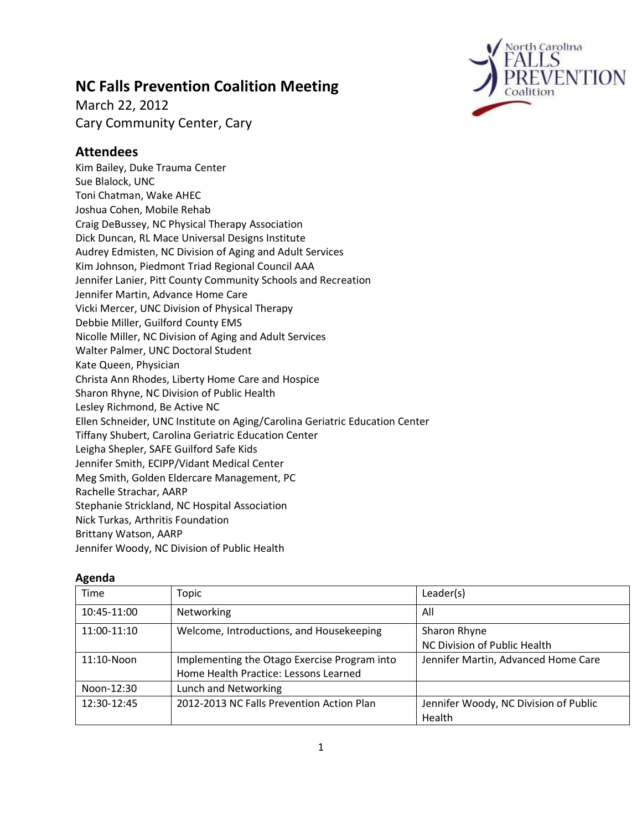# **NC Falls Prevention Coalition Meeting**

March 22, 2012 Cary Community Center, Cary



# **Attendees**

Kim Bailey, Duke Trauma Center Sue Blalock, UNC Toni Chatman, Wake AHEC Joshua Cohen, Mobile Rehab Craig DeBussey, NC Physical Therapy Association Dick Duncan, RL Mace Universal Designs Institute Audrey Edmisten, NC Division of Aging and Adult Services Kim Johnson, Piedmont Triad Regional Council AAA Jennifer Lanier, Pitt County Community Schools and Recreation Jennifer Martin, Advance Home Care Vicki Mercer, UNC Division of Physical Therapy Debbie Miller, Guilford County EMS Nicolle Miller, NC Division of Aging and Adult Services Walter Palmer, UNC Doctoral Student Kate Queen, Physician Christa Ann Rhodes, Liberty Home Care and Hospice Sharon Rhyne, NC Division of Public Health Lesley Richmond, Be Active NC Ellen Schneider, UNC Institute on Aging/Carolina Geriatric Education Center Tiffany Shubert, Carolina Geriatric Education Center Leigha Shepler, SAFE Guilford Safe Kids Jennifer Smith, ECIPP/Vidant Medical Center Meg Smith, Golden Eldercare Management, PC Rachelle Strachar, AARP Stephanie Strickland, NC Hospital Association Nick Turkas, Arthritis Foundation Brittany Watson, AARP Jennifer Woody, NC Division of Public Health

| Agenda |  |  |
|--------|--|--|
|        |  |  |

| Time          | Topic                                        | Leader(s)                             |
|---------------|----------------------------------------------|---------------------------------------|
| 10:45-11:00   | Networking                                   | All                                   |
| 11:00-11:10   | Welcome, Introductions, and Housekeeping     | Sharon Rhyne                          |
|               |                                              | NC Division of Public Health          |
| $11:10-N$ oon | Implementing the Otago Exercise Program into | Jennifer Martin, Advanced Home Care   |
|               | Home Health Practice: Lessons Learned        |                                       |
| Noon-12:30    | Lunch and Networking                         |                                       |
| 12:30-12:45   | 2012-2013 NC Falls Prevention Action Plan    | Jennifer Woody, NC Division of Public |
|               |                                              | Health                                |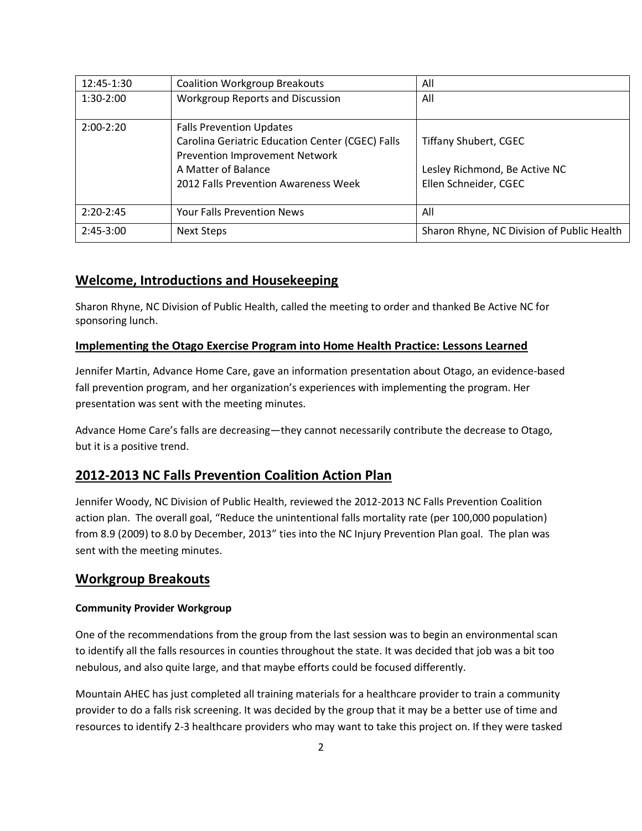| 12:45-1:30  | <b>Coalition Workgroup Breakouts</b>                                               | All                                        |
|-------------|------------------------------------------------------------------------------------|--------------------------------------------|
| $1:30-2:00$ | <b>Workgroup Reports and Discussion</b>                                            | All                                        |
| $2:00-2:20$ | <b>Falls Prevention Updates</b>                                                    |                                            |
|             | Carolina Geriatric Education Center (CGEC) Falls<br>Prevention Improvement Network | <b>Tiffany Shubert, CGEC</b>               |
|             | A Matter of Balance                                                                | Lesley Richmond, Be Active NC              |
|             | 2012 Falls Prevention Awareness Week                                               | Ellen Schneider, CGEC                      |
|             |                                                                                    |                                            |
| $2:20-2:45$ | Your Falls Prevention News                                                         | All                                        |
| $2:45-3:00$ | <b>Next Steps</b>                                                                  | Sharon Rhyne, NC Division of Public Health |

# **Welcome, Introductions and Housekeeping**

Sharon Rhyne, NC Division of Public Health, called the meeting to order and thanked Be Active NC for sponsoring lunch.

### **Implementing the Otago Exercise Program into Home Health Practice: Lessons Learned**

Jennifer Martin, Advance Home Care, gave an information presentation about Otago, an evidence-based fall prevention program, and her organization's experiences with implementing the program. Her presentation was sent with the meeting minutes.

Advance Home Care's falls are decreasing—they cannot necessarily contribute the decrease to Otago, but it is a positive trend.

### **2012-2013 NC Falls Prevention Coalition Action Plan**

Jennifer Woody, NC Division of Public Health, reviewed the 2012-2013 NC Falls Prevention Coalition action plan. The overall goal, "Reduce the unintentional falls mortality rate (per 100,000 population) from 8.9 (2009) to 8.0 by December, 2013" ties into the NC Injury Prevention Plan goal. The plan was sent with the meeting minutes.

### **Workgroup Breakouts**

#### **Community Provider Workgroup**

One of the recommendations from the group from the last session was to begin an environmental scan to identify all the falls resources in counties throughout the state. It was decided that job was a bit too nebulous, and also quite large, and that maybe efforts could be focused differently.

Mountain AHEC has just completed all training materials for a healthcare provider to train a community provider to do a falls risk screening. It was decided by the group that it may be a better use of time and resources to identify 2-3 healthcare providers who may want to take this project on. If they were tasked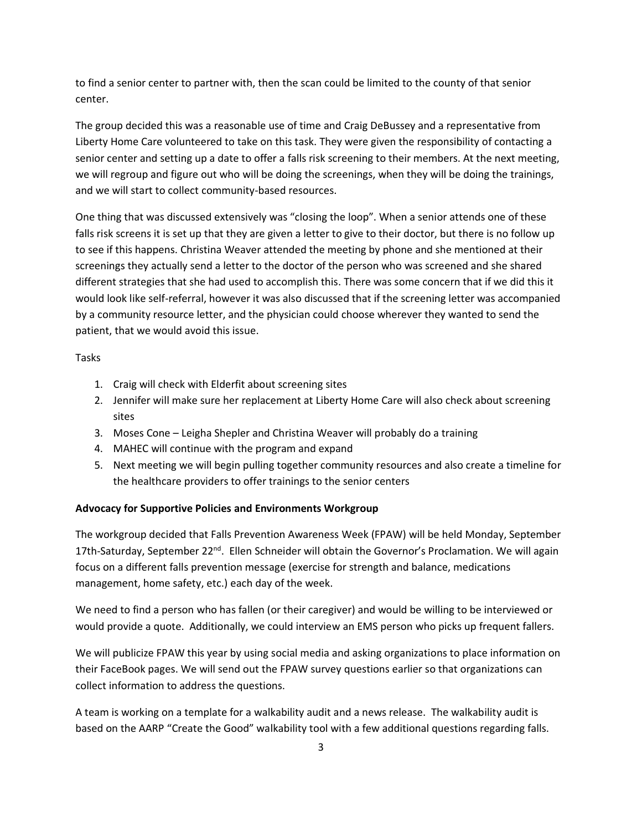to find a senior center to partner with, then the scan could be limited to the county of that senior center.

The group decided this was a reasonable use of time and Craig DeBussey and a representative from Liberty Home Care volunteered to take on this task. They were given the responsibility of contacting a senior center and setting up a date to offer a falls risk screening to their members. At the next meeting, we will regroup and figure out who will be doing the screenings, when they will be doing the trainings, and we will start to collect community-based resources.

One thing that was discussed extensively was "closing the loop". When a senior attends one of these falls risk screens it is set up that they are given a letter to give to their doctor, but there is no follow up to see if this happens. Christina Weaver attended the meeting by phone and she mentioned at their screenings they actually send a letter to the doctor of the person who was screened and she shared different strategies that she had used to accomplish this. There was some concern that if we did this it would look like self-referral, however it was also discussed that if the screening letter was accompanied by a community resource letter, and the physician could choose wherever they wanted to send the patient, that we would avoid this issue.

Tasks

- 1. Craig will check with Elderfit about screening sites
- 2. Jennifer will make sure her replacement at Liberty Home Care will also check about screening sites
- 3. Moses Cone Leigha Shepler and Christina Weaver will probably do a training
- 4. MAHEC will continue with the program and expand
- 5. Next meeting we will begin pulling together community resources and also create a timeline for the healthcare providers to offer trainings to the senior centers

#### **Advocacy for Supportive Policies and Environments Workgroup**

The workgroup decided that Falls Prevention Awareness Week (FPAW) will be held Monday, September 17th-Saturday, September 22<sup>nd</sup>. Ellen Schneider will obtain the Governor's Proclamation. We will again focus on a different falls prevention message (exercise for strength and balance, medications management, home safety, etc.) each day of the week.

We need to find a person who has fallen (or their caregiver) and would be willing to be interviewed or would provide a quote. Additionally, we could interview an EMS person who picks up frequent fallers.

We will publicize FPAW this year by using social media and asking organizations to place information on their FaceBook pages. We will send out the FPAW survey questions earlier so that organizations can collect information to address the questions.

A team is working on a template for a walkability audit and a news release. The walkability audit is based on the AARP "Create the Good" walkability tool with a few additional questions regarding falls.